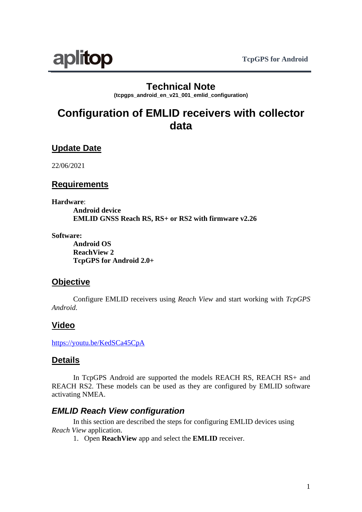

## **Technical Note**

**(tcpgps\_android\_en\_v21\_001\_emlid\_configuration)**

# **Configuration of EMLID receivers with collector data**

## **Update Date**

22/06/2021

#### **Requirements**

**Hardware**:

**Android device EMLID GNSS Reach RS, RS+ or RS2 with firmware v2.26**

**Software:**

**Android OS ReachView 2 TcpGPS for Android 2.0+**

#### **Objective**

Configure EMLID receivers using *Reach View* and start working with *TcpGPS Android*.

## **Video**

<https://youtu.be/KedSCa45CpA>

#### **Details**

In TcpGPS Android are supported the models REACH RS, REACH RS+ and REACH RS2. These models can be used as they are configured by EMLID software activating NMEA.

#### *EMLID Reach View configuration*

In this section are described the steps for configuring EMLID devices using *Reach View* application.

1. Open **ReachView** app and select the **EMLID** receiver.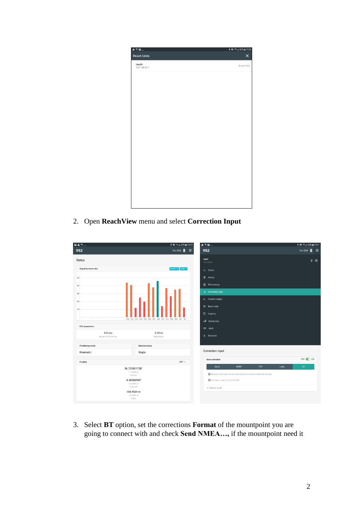

2. Open **ReachView** menu and select **Correction Input**

| $\qquad \qquad \blacksquare\ \blacktriangle \, \textcolor{red}{\widehat{\color{red}\text{min}}} \,$ | <b>*</b> ¥1 % ⊿ 62% ± 13:15                           | $\mathbf{A} \otimes \mathbf{B}$                                          | * ¥1 %⊿ 64% 13:11       |
|-----------------------------------------------------------------------------------------------------|-------------------------------------------------------|--------------------------------------------------------------------------|-------------------------|
| RS <sub>2</sub>                                                                                     | No SIM <sup>B</sup><br>$\equiv$                       | RS <sub>2</sub>                                                          | n<br>No SIM<br>$\equiv$ |
| <b>Status</b>                                                                                       |                                                       | reach<br>192.168.42.1                                                    | $9$ $\odot$             |
| Signal-to-noise ratio                                                                               | ROVER: 14 BASE: 0                                     | $\mathcal{N}$ Status                                                     |                         |
| 50                                                                                                  |                                                       | $\bullet$<br>Survey                                                      |                         |
| 40                                                                                                  |                                                       | <b>N</b> RTK settings                                                    |                         |
| 30                                                                                                  |                                                       | $\rightarrow$ Correction input                                           |                         |
| 20                                                                                                  |                                                       | ← Position output                                                        |                         |
| 10                                                                                                  |                                                       | "N" Base mode                                                            |                         |
|                                                                                                     |                                                       | <b>D</b> Logging                                                         |                         |
|                                                                                                     | C30 C36 G12 G18 G25 G26 G31 G32 R12 R14 R23 R24 R4 R5 | all Mobile data                                                          |                         |
| <b>RTK</b> parameters                                                                               |                                                       | ক Wi-Fi                                                                  |                         |
| 0.0 <sub>sec</sub><br>o age of differential                                                         | 0.00 <sub>m</sub><br>o baseline                       | 茗<br>Bluetooth                                                           |                         |
| Positioning mode                                                                                    | Solution status                                       |                                                                          |                         |
| Kinematic                                                                                           | Single                                                | Correction input                                                         |                         |
|                                                                                                     |                                                       | <b>Base correction</b>                                                   | OFF O ON                |
| Position                                                                                            | LLH $\sim$                                            | <b>NTRIP</b><br>Serial<br><b>TCP</b>                                     | LoRa<br><b>BT</b>       |
|                                                                                                     | 36.723801728°<br>± 1.9000 m                           | Make sure that your device is paired and connected in bluetooth settings |                         |
|                                                                                                     | latitude<br>$-4.46566969°$                            | Correction input format is RTCM3                                         |                         |
|                                                                                                     | ± 6.3000 m                                            |                                                                          |                         |
|                                                                                                     | longitude<br>188.4534 m                               | · Stream is off                                                          |                         |
|                                                                                                     | ± 6.4000 m                                            |                                                                          |                         |
|                                                                                                     | height                                                |                                                                          |                         |

3. Select **BT** option, set the corrections **Format** of the mountpoint you are going to connect with and check **Send NMEA…,** if the mountpoint need it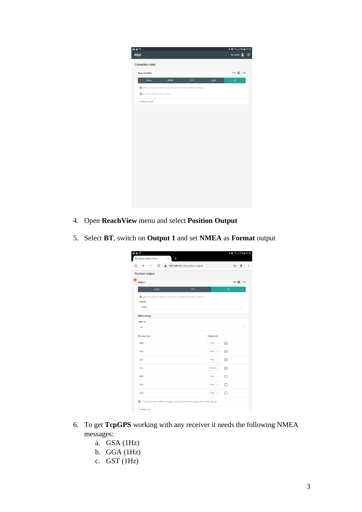|                                  |              |                                                                          |      | * ¥1 %⊿l 63% 213:12 |
|----------------------------------|--------------|--------------------------------------------------------------------------|------|---------------------|
| RS <sub>2</sub>                  |              |                                                                          |      | No SIM<br>П         |
| Correction input                 |              |                                                                          |      |                     |
|                                  |              |                                                                          |      |                     |
| <b>Base correction</b>           |              |                                                                          |      | OFF OON             |
| Serial                           | <b>NTRIP</b> | TCP                                                                      | LoRa | $\mathsf{BT}$       |
|                                  |              | Make sure that your device is paired and connected in bluetooth settings |      |                     |
| Correction input format is RTCM3 |              |                                                                          |      |                     |
| · Stream is off                  |              |                                                                          |      |                     |
|                                  |              |                                                                          |      |                     |
|                                  |              |                                                                          |      |                     |
|                                  |              |                                                                          |      |                     |
|                                  |              |                                                                          |      |                     |
|                                  |              |                                                                          |      |                     |
|                                  |              |                                                                          |      |                     |
|                                  |              |                                                                          |      |                     |
|                                  |              |                                                                          |      |                     |
|                                  |              |                                                                          |      |                     |
|                                  |              |                                                                          |      |                     |
|                                  |              |                                                                          |      |                     |
|                                  |              |                                                                          |      |                     |
|                                  |              |                                                                          |      |                     |
|                                  |              |                                                                          |      |                     |
|                                  |              |                                                                          |      |                     |
|                                  |              |                                                                          |      |                     |
|                                  |              |                                                                          |      |                     |

- 4. Open **ReachView** menu and select **Position Output**
- 5. Select **BT**, switch on **Output 1** and set **NMEA** as **Format** output

| <b>EA</b> ��…<br><b>Z</b> reach   Reach Panel<br>X                                          |                   |           |   | * ¥1 % 177% @ 10:55 |          |
|---------------------------------------------------------------------------------------------|-------------------|-----------|---|---------------------|----------|
| C A 192.168.42.1/#position-output<br>$\rightarrow$<br>$\leftarrow$<br>∩                     |                   |           | ☆ |                     | $\vdots$ |
| Position output                                                                             |                   |           |   |                     |          |
| Output 1                                                                                    |                   |           |   | OFF O ON            |          |
| <b>TCP</b><br>Serial                                                                        |                   | <b>BT</b> |   |                     |          |
| Make sure that your device is paired and connected in bluetooth settings<br>Format          |                   |           |   |                     |          |
| <b>NMEA</b>                                                                                 |                   |           |   |                     |          |
| <b>NMEA</b> settings                                                                        |                   |           |   |                     |          |
| Talker ID                                                                                   |                   |           |   |                     |          |
| GN                                                                                          |                   |           |   |                     |          |
| Message type                                                                                | Output rate       |           |   |                     |          |
| GGA                                                                                         | 1 Hz              | ⊡         |   |                     |          |
| GSA                                                                                         | 1 Hz<br>ü         | ⊡         |   |                     |          |
| GST                                                                                         | 1 Hz<br>$\ddot{}$ | ⊡         |   |                     |          |
| GSV                                                                                         | $0.5$ Hz $\sim$   | ☑         |   |                     |          |
| <b>RMC</b>                                                                                  | 1 Hz<br>$\sim$    |           |   |                     |          |
| VTG                                                                                         | 1 Hz<br>$\ddot{}$ |           |   |                     |          |
| ZDA                                                                                         | 1 Hz              | п         |   |                     |          |
| 0<br>The output rate for NMEA messages must be lower than the update rate for RTK settings. |                   |           |   |                     |          |
| · Write error                                                                               |                   |           |   |                     |          |

- 6. To get **TcpGPS** working with any receiver it needs the following NMEA messages:
	- a. GSA (1Hz)
	- b. GGA (1Hz)
	- c. GST (1Hz)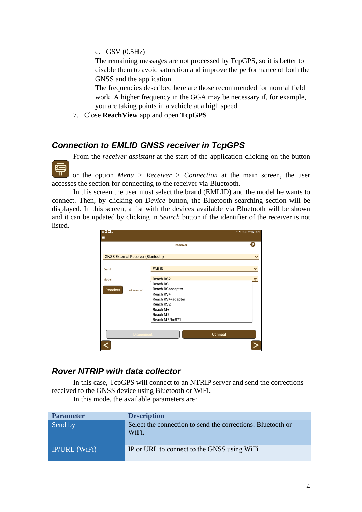d. GSV (0.5Hz)

The remaining messages are not processed by TcpGPS, so it is better to disable them to avoid saturation and improve the performance of both the GNSS and the application.

The frequencies described here are those recommended for normal field work. A higher frequency in the GGA may be necessary if, for example, you are taking points in a vehicle at a high speed.

7. Close **ReachView** app and open **TcpGPS**

#### *Connection to EMLID GNSS receiver in TcpGPS*

From the *receiver assistant* at the start of the application clicking on the button

导 or the option *Menu > Receiver > Connection* at the main screen, the user accesses the section for connecting to the receiver via Bluetooth.

In this screen the user must select the brand (EMLID) and the model he wants to connect. Then, by clicking on *Device* button, the Bluetooth searching section will be displayed. In this screen, a list with the devices available via Bluetooth will be shown and it can be updated by clicking in *Search* button if the identifier of the receiver is not listed.

| $\mathbf{A} \mathbf{B} \mathbf{B} \dots$<br>≡ |                                                               |                | <b>* ¥i 〒⊿ 100%Q 11:01</b> |
|-----------------------------------------------|---------------------------------------------------------------|----------------|----------------------------|
|                                               | <b>Receiver</b>                                               |                | Ω                          |
| <b>GNSS External Receiver (Bluetooth)</b>     |                                                               |                | ▽                          |
| <b>Brand</b>                                  | <b>EMLID</b>                                                  |                | $\Delta$                   |
| Model<br><b>Receiver</b><br>not selected      | <b>Reach RS2</b><br>Reach RS<br>Reach RS/adapter<br>Reach RS+ |                | ▽                          |
|                                               | Reach RS+/adapter<br>Reach RS2<br>Reach M+                    |                |                            |
|                                               | Reach M2<br>Reach M2/hc871                                    |                |                            |
| <b>Disconnect</b>                             |                                                               | <b>Connect</b> |                            |
|                                               |                                                               |                |                            |

#### *Rover NTRIP with data collector*

In this case, TcpGPS will connect to an NTRIP server and send the corrections received to the GNSS device using Bluetooth or WiFi.

In this mode, the available parameters are:

| <b>Parameter</b>     | <b>Description</b>                                                   |
|----------------------|----------------------------------------------------------------------|
| Send by              | Select the connection to send the corrections: Bluetooth or<br>WiFi. |
| <b>IP/URL</b> (WiFi) | IP or URL to connect to the GNSS using WiFi                          |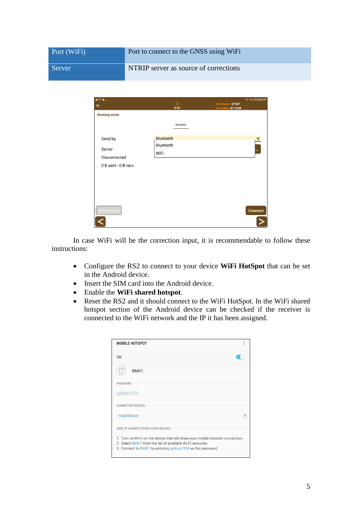| Port (WiFi) | Port to connect to the GNSS using WiFi |
|-------------|----------------------------------------|
| Server      | NTRIP server as source of corrections  |

| $\blacksquare$<br>$\widehat{\mathbb{Z}}$<br>A $\ldots$ |                    |                                          | <b>本 司司 53%自09:39</b> |
|--------------------------------------------------------|--------------------|------------------------------------------|-----------------------|
| $\equiv$                                               | $\Diamond$<br>0.0s | H 4.464m 07/07<br><b>V 4.600m BT CON</b> |                       |
| <b>Working mode</b>                                    |                    |                                          |                       |
|                                                        | <b>INTERNET</b>    |                                          |                       |
| Send by                                                | <b>Bluetooth</b>   |                                          |                       |
|                                                        | Bluetooth          |                                          |                       |
| Server                                                 | WiFi               |                                          | $\bullet$             |
| Disconnected                                           |                    |                                          |                       |
| 0 B sent - 0 B recv                                    |                    |                                          |                       |
|                                                        |                    |                                          |                       |
|                                                        |                    |                                          |                       |
|                                                        |                    |                                          |                       |
|                                                        |                    |                                          |                       |
| <b>Disconnect</b>                                      |                    |                                          | Connect               |
|                                                        |                    |                                          |                       |

In case WiFi will be the correction input, it is recommendable to follow these instructions:

- Configure the RS2 to connect to your device **WiFi HotSpot** that can be set in the Android device.
- Insert the SIM card into the Android device.
- Enable the **WiFi shared hotspot**.
- Reset the RS2 and it should connect to the WiFi HotSpot. In the WiFi shared hotspot section of the Android device can be checked if the receiver is connected to the WiFi network and the IP it has been assigned.

| <b>MOBILE HOTSPOT</b>                                                                                                                                                                                      |  |
|------------------------------------------------------------------------------------------------------------------------------------------------------------------------------------------------------------|--|
| 0 <sub>N</sub>                                                                                                                                                                                             |  |
| BMK1                                                                                                                                                                                                       |  |
| PASSWORD                                                                                                                                                                                                   |  |
|                                                                                                                                                                                                            |  |
| <b>CONNECTED DEVICES</b>                                                                                                                                                                                   |  |
| reachBase                                                                                                                                                                                                  |  |
| HOW TO CONNECT FROM OTHER DEVICES                                                                                                                                                                          |  |
| 1. Turn on Wi-Fi on the device that will share your mobile network connection.<br>2. Select BMK1 from the list of available Wi-Fi networks.<br>3. Connect to BMK1 by entering aplitop1234 as the password. |  |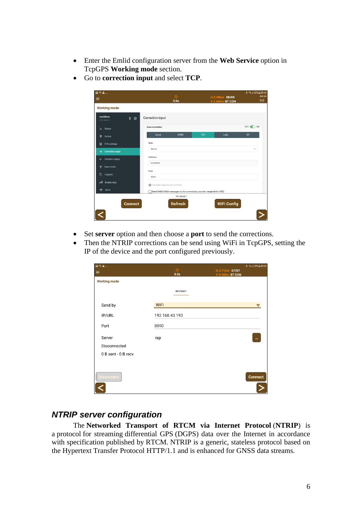- Enter the Emlid configuration server from the **Web Service** option in TcpGPS **Working mode** section.
- Go to **correction input** and select **TCP**.

| <b>国家全</b> …<br>$\equiv$                     | Ò<br>0.0s                                                             | H 2.486m 08/08<br><b>V 2.600m BT CON</b> | <b>术 令⊿ 52%自09:40</b><br>Ant.(m)<br>0.0 |
|----------------------------------------------|-----------------------------------------------------------------------|------------------------------------------|-----------------------------------------|
| <b>Working mode</b>                          |                                                                       |                                          |                                         |
| reachBase<br>Q.<br>☺<br>192.168.42.1         | <b>Correction input</b>                                               |                                          |                                         |
| <b>Status</b><br>₩                           | <b>Base correction</b>                                                |                                          | OFF OON                                 |
| $\circ$<br>Survey                            | Serial<br><b>NTRIP</b>                                                | <b>TCP</b><br>LoRa<br><b>BT</b>          |                                         |
| 褂<br><b>RTK settings</b>                     | Role                                                                  |                                          |                                         |
| <b>Correction input</b><br>$\rightarrow$     | Server                                                                |                                          | v                                       |
| Position output<br>$\leftarrow$              | Address                                                               |                                          |                                         |
| $\frac{(\mathbf{q})}{2}$<br><b>Base mode</b> | localhost                                                             |                                          |                                         |
| $\bullet$<br>Logging                         | Port<br>9090                                                          |                                          |                                         |
| ull Mobile data                              | Correction input format is RTCM3                                      |                                          |                                         |
| Wi-Fi<br>$\widehat{\mathcal{P}}$             | Send NMEA GGA messages to the corrections provider (required for VRS) |                                          |                                         |
| <b>Connect</b>                               | 192.168.42.1<br><b>Refresh</b>                                        | <b>WiFi Config</b>                       |                                         |

- Set **server** option and then choose a **port** to send the corrections.
- Then the NTRIP corrections can be send using WiFi in TcpGPS, setting the IP of the device and the port configured previously.

| <b>国家全</b> …<br>$\equiv$ | $\Diamond$<br>0.0s | H 3.713m 07/07<br>V 3.900m BT CON | <b>本 司⊿ 53%自09:39</b> |
|--------------------------|--------------------|-----------------------------------|-----------------------|
| <b>Working mode</b>      |                    |                                   |                       |
|                          | <b>INTERNET</b>    |                                   |                       |
| Send by                  | <b>WiFi</b>        |                                   | $\Delta$              |
| IP/URL                   | 192.168.43.193     |                                   |                       |
| Port                     | 8090               |                                   |                       |
| Server                   | rap                |                                   | $\ddotsc$             |
| Disconnected             |                    |                                   |                       |
| 0 B sent - 0 B recv      |                    |                                   |                       |
|                          |                    |                                   |                       |
| <b>Disconnect</b>        |                    |                                   | <b>Connect</b>        |
|                          |                    |                                   |                       |

### *NTRIP server configuration*

The **Networked Transport of RTCM via Internet Protocol** (**NTRIP**) is a [protocol](https://en.wikipedia.org/wiki/Communications_protocol) for streaming [differential](https://en.wikipedia.org/wiki/Differential_GPS) GPS (DGPS) data over the Internet in accordance with specification published by [RTCM.](https://en.wikipedia.org/wiki/RTCM) NTRIP is a generic, stateless protocol based on the [Hypertext Transfer Protocol](https://en.wikipedia.org/wiki/Hypertext_Transfer_Protocol) HTTP/1.1 and is enhanced for [GNSS](https://en.wikipedia.org/wiki/GNSS) data streams.